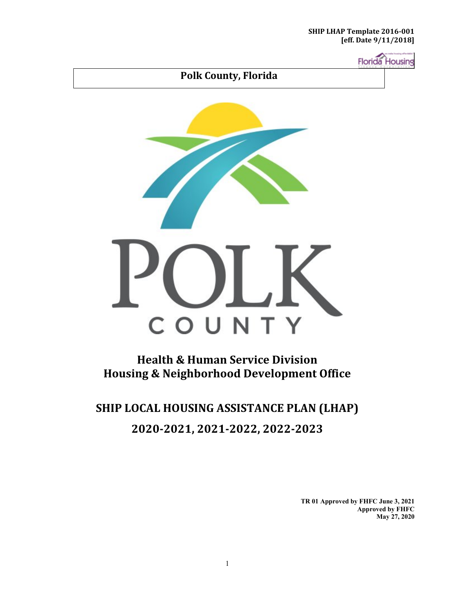**Florida** Housing



**Health & Human Service Division Housing & Neighborhood Development Office** 

## **SHIP LOCAL HOUSING ASSISTANCE PLAN (LHAP) 2020-2021, 2021-2022, 2022-2023**

**TR 01 Approved by FHFC June 3, 2021 Approved by FHFC May 27, 2020**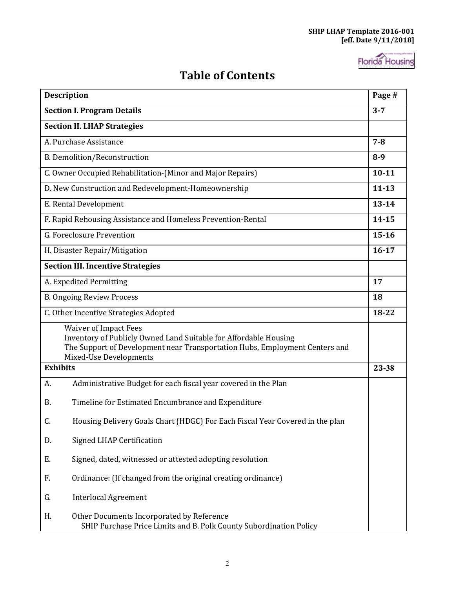

### **Table of Contents**

| <b>Description</b>                                                                                                                                                                                        | Page #    |
|-----------------------------------------------------------------------------------------------------------------------------------------------------------------------------------------------------------|-----------|
| <b>Section I. Program Details</b>                                                                                                                                                                         | $3 - 7$   |
| <b>Section II. LHAP Strategies</b>                                                                                                                                                                        |           |
| A. Purchase Assistance                                                                                                                                                                                    | $7 - 8$   |
| <b>B. Demolition/Reconstruction</b>                                                                                                                                                                       | $8 - 9$   |
| C. Owner Occupied Rehabilitation-(Minor and Major Repairs)                                                                                                                                                | $10 - 11$ |
| D. New Construction and Redevelopment-Homeownership                                                                                                                                                       | $11 - 13$ |
| E. Rental Development                                                                                                                                                                                     | $13 - 14$ |
| F. Rapid Rehousing Assistance and Homeless Prevention-Rental                                                                                                                                              | 14-15     |
| G. Foreclosure Prevention                                                                                                                                                                                 | $15 - 16$ |
| H. Disaster Repair/Mitigation                                                                                                                                                                             | $16 - 17$ |
| <b>Section III. Incentive Strategies</b>                                                                                                                                                                  |           |
| A. Expedited Permitting                                                                                                                                                                                   | 17        |
| <b>B. Ongoing Review Process</b>                                                                                                                                                                          | 18        |
| C. Other Incentive Strategies Adopted                                                                                                                                                                     | 18-22     |
| <b>Waiver of Impact Fees</b><br>Inventory of Publicly Owned Land Suitable for Affordable Housing<br>The Support of Development near Transportation Hubs, Employment Centers and<br>Mixed-Use Developments |           |
| <b>Exhibits</b>                                                                                                                                                                                           | 23-38     |
| Administrative Budget for each fiscal year covered in the Plan<br>A.                                                                                                                                      |           |
| Timeline for Estimated Encumbrance and Expenditure<br>В.                                                                                                                                                  |           |
| C.<br>Housing Delivery Goals Chart (HDGC) For Each Fiscal Year Covered in the plan                                                                                                                        |           |
| <b>Signed LHAP Certification</b><br>D.                                                                                                                                                                    |           |
| Signed, dated, witnessed or attested adopting resolution<br>Е.                                                                                                                                            |           |
| Ordinance: (If changed from the original creating ordinance)<br>F.                                                                                                                                        |           |
| G.<br><b>Interlocal Agreement</b>                                                                                                                                                                         |           |
| Η.<br>Other Documents Incorporated by Reference<br>SHIP Purchase Price Limits and B. Polk County Subordination Policy                                                                                     |           |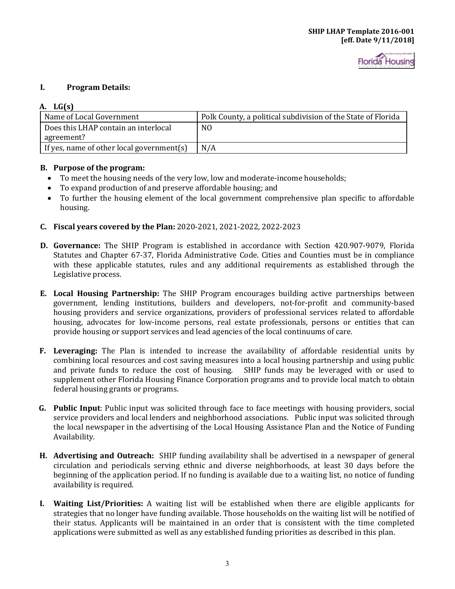### **I. Program Details:**

#### **A. LG(s)**

| Name of Local Government                  | Polk County, a political subdivision of the State of Florida |
|-------------------------------------------|--------------------------------------------------------------|
| Does this LHAP contain an interlocal      | N <sub>0</sub>                                               |
| agreement?                                |                                                              |
| If yes, name of other local government(s) | N/A                                                          |

#### **B. Purpose of the program:**

- To meet the housing needs of the very low, low and moderate-income households;
- To expand production of and preserve affordable housing; and
- To further the housing element of the local government comprehensive plan specific to affordable housing.
- **C. Fiscal years covered by the Plan:** 2020-2021, 2021-2022, 2022-2023
- **D. Governance:** The SHIP Program is established in accordance with Section 420.907-9079, Florida Statutes and Chapter 67-37, Florida Administrative Code. Cities and Counties must be in compliance with these applicable statutes, rules and any additional requirements as established through the Legislative process.
- **E. Local Housing Partnership:** The SHIP Program encourages building active partnerships between government, lending institutions, builders and developers, not-for-profit and community-based housing providers and service organizations, providers of professional services related to affordable housing, advocates for low-income persons, real estate professionals, persons or entities that can provide housing or support services and lead agencies of the local continuums of care.
- and private funds to reduce the cost of housing. SHIP funds may be leveraged with or used to **F. Leveraging:** The Plan is intended to increase the availability of affordable residential units by combining local resources and cost saving measures into a local housing partnership and using public<br>and private funds to reduce the cost of housing. SHIP funds may be leveraged with or used to supplement other Florida Housing Finance Corporation programs and to provide local match to obtain federal housing grants or programs.
- the local newspaper in the advertising of the Local Housing Assistance Plan and the Notice of Funding **G. Public Input**: Public input was solicited through face to face meetings with housing providers, social service providers and local lenders and neighborhood associations. Public input was solicited through Availability.
- **H. Advertising and Outreach:** SHIP funding availability shall be advertised in a newspaper of general circulation and periodicals serving ethnic and diverse neighborhoods, at least 30 days before the beginning of the application period. If no funding is available due to a waiting list, no notice of funding availability is required.
- **I. Waiting List/Priorities:** A waiting list will be established when there are eligible applicants for strategies that no longer have funding available. Those households on the waiting list will be notified of their status. Applicants will be maintained in an order that is consistent with the time completed applications were submitted as well as any established funding priorities as described in this plan.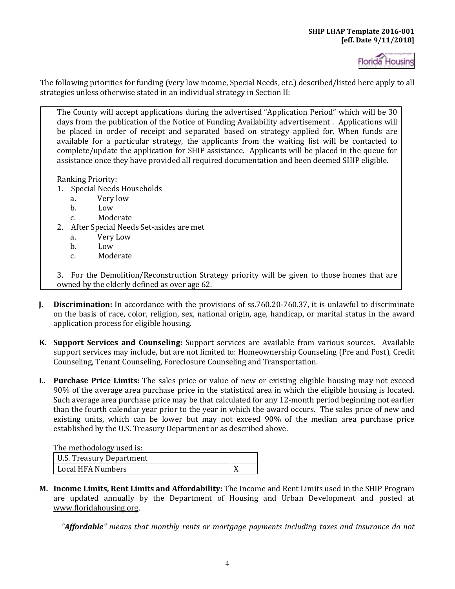

The following priorities for funding (very low income, Special Needs, etc.) described/listed here apply to all strategies unless otherwise stated in an individual strategy in Section II:

The County will accept applications during the advertised "Application Period" which will be 30 days from the publication of the Notice of Funding Availability advertisement . Applications will be placed in order of receipt and separated based on strategy applied for. When funds are available for a particular strategy, the applicants from the waiting list will be contacted to complete/update the application for SHIP assistance. Applicants will be placed in the queue for assistance once they have provided all required documentation and been deemed SHIP eligible.

Ranking Priority:

- 1. Special Needs Households
	- a. Very low
	- b. Low<br>c. Mode
	- Moderate
- 2. After Special Needs Set-asides are met<br>a. Very Low
	- a. Very Low
	- b. Low<br>c. Mod
	- Moderate

3. For the Demolition/Reconstruction Strategy priority will be given to those homes that are owned by the elderly defined as over age 62.

- **J. Discrimination:** In accordance with the provisions of [ss.760.20-760.37](http://www.leg.state.fl.us/statutes/index.cfm?App_mode=Display_Statute&URL=0700-0799/0760/0760PartIIContentsIndex.html&StatuteYear=2018&Title=%2D%3E2016%2D%3EChapter%20760%2D%3EPart%20II), it is unlawful to discriminate on the basis of race, color, religion, sex, national origin, age, handicap, or marital status in the award application process for eligible housing.
- **K. Support Services and Counseling:** Support services are available from various sources. Available support services may include, but are not limited to: Homeownership Counseling (Pre and Post), Credit Counseling, Tenant Counseling, Foreclosure Counseling and Transportation.
- 90% of the average area purchase price in the statistical area in which the eligible housing is located. **L. Purchase Price Limits:** The sales price or value of new or existing eligible housing may not exceed Such average area purchase price may be that calculated for any 12-month period beginning not earlier than the fourth calendar year prior to the year in which the award occurs. The sales price of new and existing units, which can be lower but may not exceed 90% of the median area purchase price established by the U.S. Treasury Department or as described above.

The methodology used is:

| 1.11011100110010110100001101 |  |
|------------------------------|--|
| U.S. Treasury Department     |  |
| Local HFA Numbers            |  |

**M. Income Limits, Rent Limits and Affordability:** The Income and Rent Limits used in the SHIP Program are updated annually by the Department of Housing and Urban Development and posted at [www.floridahousing.org.](http://www.floridahousing.org/) 

*"Affordable" means that monthly rents or mortgage payments including taxes and insurance do not*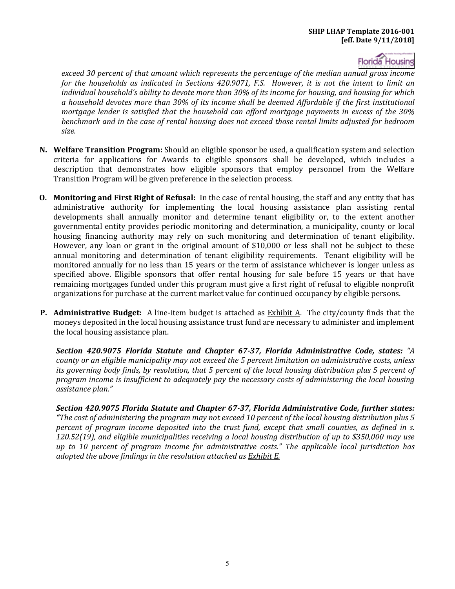Florida Housing

*exceed 30 percent of that amount which represents the percentage of the median annual gross income for the households as indicated in Sections 420.9071, F.S. However, it is not the intent to limit an individual household's ability to devote more than 30% of its income for housing, and housing for which a household devotes more than 30% of its income shall be deemed Affordable if the first institutional mortgage lender is satisfied that the household can afford mortgage payments in excess of the 30% benchmark and in the case of rental housing does not exceed those rental limits adjusted for bedroom size.* 

- **N. Welfare Transition Program:** Should an eligible sponsor be used, a qualification system and selection criteria for applications for Awards to eligible sponsors shall be developed, which includes a description that demonstrates how eligible sponsors that employ personnel from the Welfare Transition Program will be given preference in the selection process.
- **O. Monitoring and First Right of Refusal:** In the case of rental housing, the staff and any entity that has housing financing authority may rely on such monitoring and determination of tenant eligibility. annual monitoring and determination of tenant eligibility requirements. Tenant eligibility will be administrative authority for implementing the local housing assistance plan assisting rental developments shall annually monitor and determine tenant eligibility or, to the extent another governmental entity provides periodic monitoring and determination, a municipality, county or local However, any loan or grant in the original amount of \$10,000 or less shall not be subject to these monitored annually for no less than 15 years or the term of assistance whichever is longer unless as specified above. Eligible sponsors that offer rental housing for sale before 15 years or that have remaining mortgages funded under this program must give a first right of refusal to eligible nonprofit organizations for purchase at the current market value for continued occupancy by eligible persons.
- **P. Administrative Budget:** A line-item budget is attached as Exhibit A. The city/county finds that the moneys deposited in the local housing assistance trust fund are necessary to administer and implement the local housing assistance plan.

*Section 420.9075 Florida Statute and Chapter 67-37, Florida Administrative Code, states: "A county or an eligible municipality may not exceed the 5 percent limitation on administrative costs, unless its governing body finds, by resolution, that 5 percent of the local housing distribution plus 5 percent of program income is insufficient to adequately pay the necessary costs of administering the local housing assistance plan."* 

*Section 420.9075 Florida Statute and Chapter 67-37, Florida Administrative Code, further states: "The cost of administering the program may not exceed 10 percent of the local housing distribution plus 5 percent of program income deposited into the trust fund, except that small counties, as defined in s. 120.52(19), and eligible municipalities receiving a local housing distribution of up to \$350,000 may use up to 10 percent of program income for administrative costs." The applicable local jurisdiction has adopted the above findings in the resolution attached as Exhibit E.*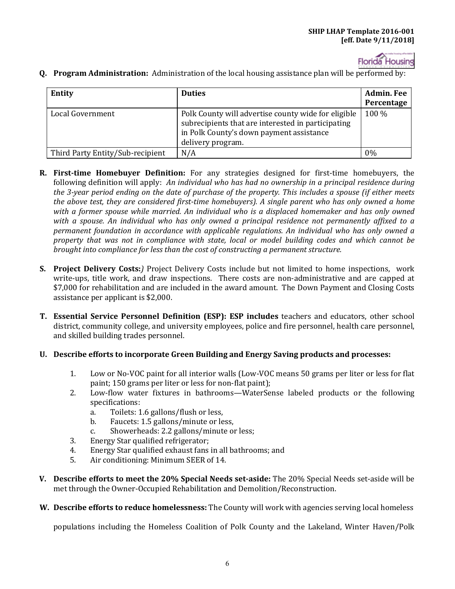

| Entity                           | <b>Duties</b>                                                                                                                                                              | <b>Admin. Fee</b><br>Percentage |
|----------------------------------|----------------------------------------------------------------------------------------------------------------------------------------------------------------------------|---------------------------------|
| Local Government                 | Polk County will advertise county wide for eligible<br>subrecipients that are interested in participating<br>in Polk County's down payment assistance<br>delivery program. | 100 %                           |
| Third Party Entity/Sub-recipient | N/A                                                                                                                                                                        | 0%                              |

**Q. Program Administration:** Administration of the local housing assistance plan will be performed by:

- following definition will apply: *An individual who has had no ownership in a principal residence during*  **R. First-time Homebuyer Definition:** For any strategies designed for first-time homebuyers, the *the 3-year period ending on the date of purchase of the property. This includes a spouse (if either meets the above test, they are considered first-time homebuyers). A single parent who has only owned a home with a former spouse while married. An individual who is a displaced homemaker and has only owned with a spouse. An individual who has only owned a principal residence not permanently affixed to a permanent foundation in accordance with applicable regulations. An individual who has only owned a property that was not in compliance with state, local or model building codes and which cannot be brought into compliance for less than the cost of constructing a permanent structure.*
- write-ups, title work, and draw inspections. There costs are non-administrative and are capped at **S. Project Delivery Costs:***)* Project Delivery Costs include but not limited to home inspections, work \$7,000 for rehabilitation and are included in the award amount. The Down Payment and Closing Costs assistance per applicant is \$2,000.
- **T. Essential Service Personnel Definition (ESP): ESP includes** teachers and educators, other school district, community college, and university employees, police and fire personnel, health care personnel, and skilled building trades personnel.
- **U. Describe efforts to incorporate Green Building and Energy Saving products and processes:** 
	- 1. Low or No-VOC paint for all interior walls (Low-VOC means 50 grams per liter or less for flat paint; 150 grams per liter or less for non-flat paint);
	- 2. Low-flow water fixtures in bathrooms—WaterSense labeled products or the following specifications:<br>a. Toilets: 1
		- a. Toilets: 1.6 gallons/flush or less,<br>b. Faucets: 1.5 gallons/minute or le
		- Faucets: 1.5 gallons/minute or less,
		- c. Showerheads: 2.2 gallons/minute or less;
	- 3. Energy Star qualified refrigerator;<br>4. Energy Star qualified exhaust fans
	- 4. Energy Star qualified exhaust fans in all bathrooms; and<br>5. Air conditioning: Minimum SEER of 14.
	- 5. Air conditioning: Minimum SEER of 14.
- **V. Describe efforts to meet the 20% Special Needs set-aside:** The 20% Special Needs set-aside will be met through the Owner-Occupied Rehabilitation and Demolition/Reconstruction.
- **W. Describe efforts to reduce homelessness:** The County will work with agencies serving local homeless

populations including the Homeless Coalition of Polk County and the Lakeland, Winter Haven/Polk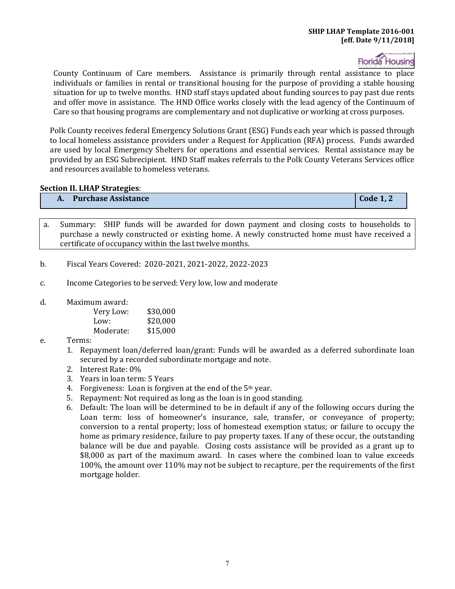**Florida Housing** 

County Continuum of Care members. Assistance is primarily through rental assistance to place individuals or families in rental or transitional housing for the purpose of providing a stable housing situation for up to twelve months. HND staff stays updated about funding sources to pay past due rents and offer move in assistance. The HND Office works closely with the lead agency of the Continuum of Care so that housing programs are complementary and not duplicative or working at cross purposes.

 to local homeless assistance providers under a Request for Application (RFA) process. Funds awarded provided by an ESG Subrecipient. HND Staff makes referrals to the Polk County Veterans Services office Polk County receives federal Emergency Solutions Grant (ESG) Funds each year which is passed through are used by local Emergency Shelters for operations and essential services. Rental assistance may be and resources available to homeless veterans.

#### **Section II. LHAP Strategies**:

#### **A. Purchase Assistance** Code 1, 2 **Code 1, 2 Code 1, 2 Code 1, 2**

a. Summary: SHIP funds will be awarded for down payment and closing costs to households to purchase a newly constructed or existing home. A newly constructed home must have received a certificate of occupancy within the last twelve months.

- b. Fiscal Years Covered: 2020-2021, 2021-2022, 2022-2023
- c. Income Categories to be served: Very low, low and moderate
- d. Maximum award:

| Very Low: | \$30,000 |
|-----------|----------|
| Low:      | \$20,000 |
| Moderate: | \$15,000 |

- e. Terms:
	- 1. Repayment loan/deferred loan/grant: Funds will be awarded as a deferred subordinate loan secured by a recorded subordinate mortgage and note.
	- 2. Interest Rate: 0%
	- 3. Years in loan term: 5 Years
	- 4. Forgiveness: Loan is forgiven at the end of the 5th year.
	- 5. Repayment: Not required as long as the loan is in good standing.
	- 6. Default: The loan will be determined to be in default if any of the following occurs during the Loan term: loss of homeowner's insurance, sale, transfer, or conveyance of property; conversion to a rental property; loss of homestead exemption status; or failure to occupy the home as primary residence, failure to pay property taxes. If any of these occur, the outstanding balance will be due and payable. Closing costs assistance will be provided as a grant up to \$8,000 as part of the maximum award. In cases where the combined loan to value exceeds 100%, the amount over 110% may not be subject to recapture, per the requirements of the first mortgage holder.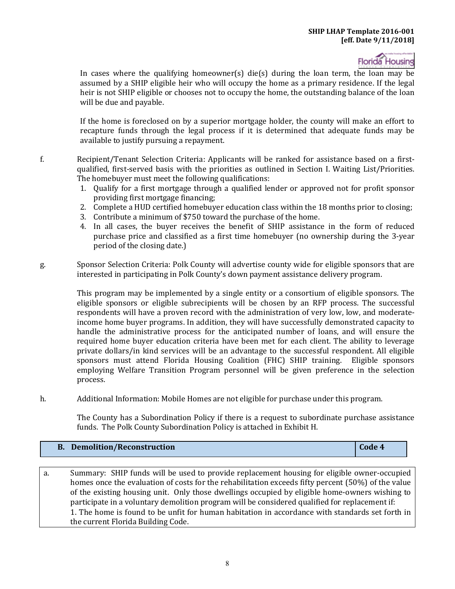In cases where the qualifying homeowner(s) die(s) during the loan term, the loan may be assumed by a SHIP eligible heir who will occupy the home as a primary residence. If the legal heir is not SHIP eligible or chooses not to occupy the home, the outstanding balance of the loan will be due and payable.

If the home is foreclosed on by a superior mortgage holder, the county will make an effort to recapture funds through the legal process if it is determined that adequate funds may be available to justify pursuing a repayment.

f. Recipient/Tenant Selection Criteria: Applicants will be ranked for assistance based on a firstqualified, first-served basis with the priorities as outlined in Section I. Waiting List/Priorities. The homebuyer must meet the following qualifications:

- 1. Qualify for a first mortgage through a qualified lender or approved not for profit sponsor providing first mortgage financing;
- 2. Complete a HUD certified homebuyer education class within the 18 months prior to closing;
- 3. Contribute a minimum of \$750 toward the purchase of the home.
- 4. In all cases, the buyer receives the benefit of SHIP assistance in the form of reduced purchase price and classified as a first time homebuyer (no ownership during the 3-year period of the closing date.)
- g. Sponsor Selection Criteria: Polk County will advertise county wide for eligible sponsors that are interested in participating in Polk County's down payment assistance delivery program.

This program may be implemented by a single entity or a consortium of eligible sponsors. The eligible sponsors or eligible subrecipients will be chosen by an RFP process. The successful respondents will have a proven record with the administration of very low, low, and moderateincome home buyer programs. In addition, they will have successfully demonstrated capacity to handle the administrative process for the anticipated number of loans, and will ensure the required home buyer education criteria have been met for each client. The ability to leverage private dollars/in kind services will be an advantage to the successful respondent. All eligible sponsors must attend Florida Housing Coalition (FHC) SHIP training. Eligible sponsors employing Welfare Transition Program personnel will be given preference in the selection process.

h. Additional Information: Mobile Homes are not eligible for purchase under this program.

 funds. The Polk County Subordination Policy is attached in Exhibit H. The County has a Subordination Policy if there is a request to subordinate purchase assistance

## **B.** Demolition/Reconstruction **Code 4 Code 4**

a. Summary: SHIP funds will be used to provide replacement housing for eligible owner-occupied homes once the evaluation of costs for the rehabilitation exceeds fifty percent (50%) of the value of the existing housing unit. Only those dwellings occupied by eligible home-owners wishing to participate in a voluntary demolition program will be considered qualified for replacement if: 1. The home is found to be unfit for human habitation in accordance with standards set forth in the current Florida Building Code.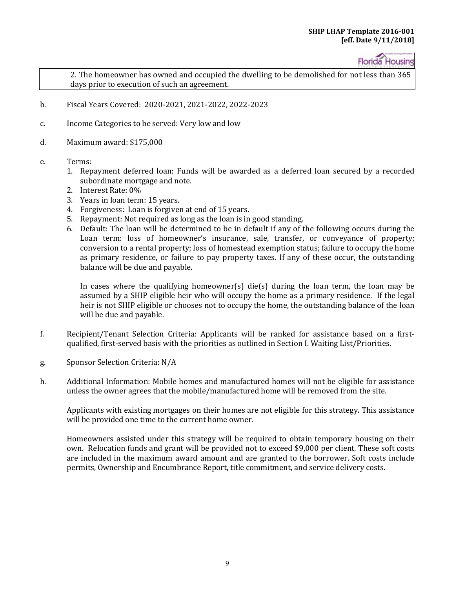2. The homeowner has owned and occupied the dwelling to be demolished for not less than 365 days prior to execution of such an agreement.

- b. Fiscal Years Covered: 2020-2021, 2021-2022, 2022-2023
- c. Income Categories to be served: Very low and low
- d. Maximum award: \$175,000
- e. Terms:
	- 1. Repayment deferred loan: Funds will be awarded as a deferred loan secured by a recorded subordinate mortgage and note.
	- 2. Interest Rate: 0%
	- 3. Years in loan term: 15 years.
	- 4. Forgiveness: Loan is forgiven at end of 15 years.
	- 5. Repayment: Not required as long as the loan is in good standing.
	- 6. Default: The loan will be determined to be in default if any of the following occurs during the Loan term: loss of homeowner's insurance, sale, transfer, or conveyance of property; conversion to a rental property; loss of homestead exemption status; failure to occupy the home as primary residence, or failure to pay property taxes. If any of these occur, the outstanding balance will be due and payable.

In cases where the qualifying homeowner(s) die(s) during the loan term, the loan may be assumed by a SHIP eligible heir who will occupy the home as a primary residence. If the legal heir is not SHIP eligible or chooses not to occupy the home, the outstanding balance of the loan will be due and payable.

- f. Recipient/Tenant Selection Criteria: Applicants will be ranked for assistance based on a firstqualified, first-served basis with the priorities as outlined in Section I. Waiting List/Priorities.
- g. Sponsor Selection Criteria: N/A
- h. Additional Information: Mobile homes and manufactured homes will not be eligible for assistance unless the owner agrees that the mobile/manufactured home will be removed from the site.

Applicants with existing mortgages on their homes are not eligible for this strategy. This assistance will be provided one time to the current home owner.

Homeowners assisted under this strategy will be required to obtain temporary housing on their own. Relocation funds and grant will be provided not to exceed \$9,000 per client. These soft costs are included in the maximum award amount and are granted to the borrower. Soft costs include permits, Ownership and Encumbrance Report, title commitment, and service delivery costs.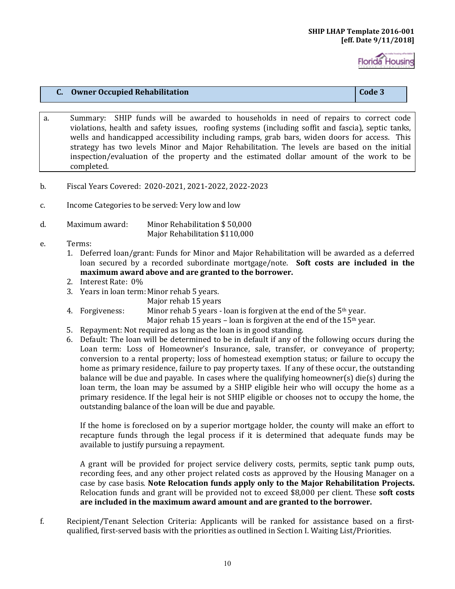#### **C.** Owner Occupied Rehabilitation **Code 3 Code 3 Code 3**

- a. Summary: SHIP funds will be awarded to households in need of repairs to correct code violations, health and safety issues, roofing systems (including soffit and fascia), septic tanks, wells and handicapped accessibility including ramps, grab bars, widen doors for access. This strategy has two levels Minor and Major Rehabilitation. The levels are based on the initial inspection/evaluation of the property and the estimated dollar amount of the work to be completed.
- b. Fiscal Years Covered: 2020-2021, 2021-2022, 2022-2023
- c. Income Categories to be served: Very low and low
- d. Maximum award: Minor Rehabilitation \$ 50,000 Major Rehabilitation \$110,000
- e. Terms:
	- loan secured by a recorded subordinate mortgage/note. **Soft costs are included in the**  1. Deferred loan/grant: Funds for Minor and Major Rehabilitation will be awarded as a deferred **maximum award above and are granted to the borrower.**
	- 2. Interest Rate: 0%
	- 3. Years in loan term:Minor rehab 5 years.
		- Major rehab 15 years
	- 4. Forgiveness: Minor rehab 5 years loan is forgiven at the end of the  $5<sup>th</sup>$  year.

Major rehab 15 years – loan is forgiven at the end of the  $15<sup>th</sup>$  year.

- 5. Repayment: Not required as long as the loan is in good standing.
- 6. Default: The loan will be determined to be in default if any of the following occurs during the Loan term: Loss of Homeowner's Insurance, sale, transfer, or conveyance of property; conversion to a rental property; loss of homestead exemption status; or failure to occupy the home as primary residence, failure to pay property taxes. If any of these occur, the outstanding balance will be due and payable. In cases where the qualifying homeowner(s) die(s) during the loan term, the loan may be assumed by a SHIP eligible heir who will occupy the home as a primary residence. If the legal heir is not SHIP eligible or chooses not to occupy the home, the outstanding balance of the loan will be due and payable.

If the home is foreclosed on by a superior mortgage holder, the county will make an effort to recapture funds through the legal process if it is determined that adequate funds may be available to justify pursuing a repayment.

A grant will be provided for project service delivery costs, permits, septic tank pump outs, recording fees, and any other project related costs as approved by the Housing Manager on a case by case basis. **Note Relocation funds apply only to the Major Rehabilitation Projects.**  Relocation funds and grant will be provided not to exceed \$8,000 per client. These **soft costs are included in the maximum award amount and are granted to the borrower.** 

f. Recipient/Tenant Selection Criteria: Applicants will be ranked for assistance based on a firstqualified, first-served basis with the priorities as outlined in Section I. Waiting List/Priorities.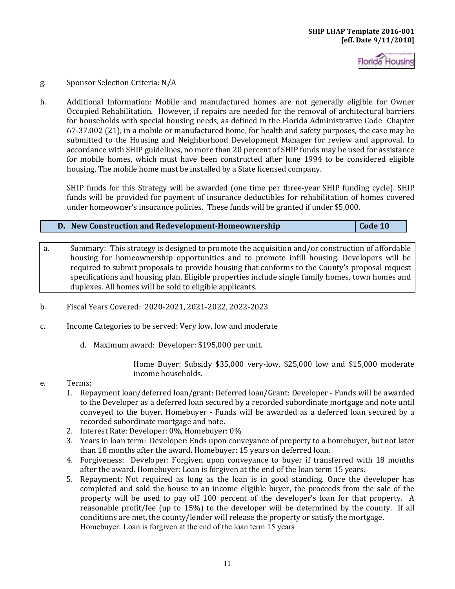

#### g. Sponsor Selection Criteria: N/A

 for households with special housing needs, as defined in the Florida Administrative Code Chapter h. Additional Information: Mobile and manufactured homes are not generally eligible for Owner Occupied Rehabilitation. However, if repairs are needed for the removal of architectural barriers 67-37.002 (21), in a mobile or manufactured home, for health and safety purposes, the case may be submitted to the Housing and Neighborhood Development Manager for review and approval. In accordance with SHIP guidelines, no more than 20 percent of SHIP funds may be used for assistance for mobile homes, which must have been constructed after June 1994 to be considered eligible housing. The mobile home must be installed by a State licensed company.

SHIP funds for this Strategy will be awarded (one time per three-year SHIP funding cycle). SHIP funds will be provided for payment of insurance deductibles for rehabilitation of homes covered under homeowner's insurance policies. These funds will be granted if under \$5,000.

#### **D. New Construction and Redevelopment-Homeownership Code 10**  $\cdot$  **Code 10**

- a. Summary: This strategy is designed to promote the acquisition and/or construction of affordable housing for homeownership opportunities and to promote infill housing. Developers will be required to submit proposals to provide housing that conforms to the County's proposal request specifications and housing plan. Eligible properties include single family homes, town homes and duplexes. All homes will be sold to eligible applicants.
- b. Fiscal Years Covered: 2020-2021, 2021-2022, 2022-2023
- c. Income Categories to be served: Very low, low and moderate
	- d. Maximum award: Developer: \$195,000 per unit.

Home Buyer: Subsidy \$35,000 very-low, \$25,000 low and \$15,000 moderate income households.

#### e. Terms:

- 1. Repayment loan/deferred loan/grant: Deferred loan/Grant: Developer Funds will be awarded to the Developer as a deferred loan secured by a recorded subordinate mortgage and note until conveyed to the buyer. Homebuyer - Funds will be awarded as a deferred loan secured by a recorded subordinate mortgage and note.
- 2. Interest Rate: Developer: 0%, Homebuyer: 0%
- 3. Years in loan term: Developer: Ends upon conveyance of property to a homebuyer, but not later than 18 months after the award. Homebuyer: 15 years on deferred loan.
- 4. Forgiveness: Developer: Forgiven upon conveyance to buyer if transferred with 18 months after the award. Homebuyer: Loan is forgiven at the end of the loan term 15 years.
- 5. Repayment: Not required as long as the loan is in good standing. Once the developer has completed and sold the house to an income eligible buyer, the proceeds from the sale of the property will be used to pay off 100 percent of the developer's loan for that property. A reasonable profit/fee (up to 15%) to the developer will be determined by the county. If all conditions are met, the county/lender will release the property or satisfy the mortgage. Homebuyer: Loan is forgiven at the end of the loan term 15 years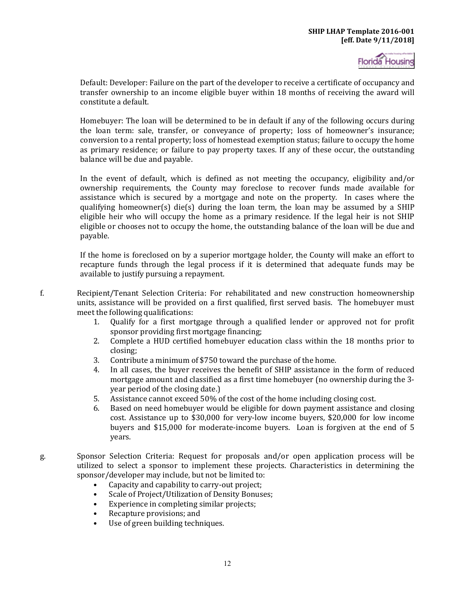Default: Developer: Failure on the part of the developer to receive a certificate of occupancy and transfer ownership to an income eligible buyer within 18 months of receiving the award will constitute a default.

Homebuyer: The loan will be determined to be in default if any of the following occurs during the loan term: sale, transfer, or conveyance of property; loss of homeowner's insurance; conversion to a rental property; loss of homestead exemption status; failure to occupy the home as primary residence; or failure to pay property taxes. If any of these occur, the outstanding balance will be due and payable.

In the event of default, which is defined as not meeting the occupancy, eligibility and/or ownership requirements, the County may foreclose to recover funds made available for assistance which is secured by a mortgage and note on the property. In cases where the qualifying homeowner(s) die(s) during the loan term, the loan may be assumed by a SHIP eligible heir who will occupy the home as a primary residence. If the legal heir is not SHIP eligible or chooses not to occupy the home, the outstanding balance of the loan will be due and payable.

If the home is foreclosed on by a superior mortgage holder, the County will make an effort to recapture funds through the legal process if it is determined that adequate funds may be available to justify pursuing a repayment.

- f. Recipient/Tenant Selection Criteria: For rehabilitated and new construction homeownership units, assistance will be provided on a first qualified, first served basis. The homebuyer must meet the following qualifications:<br>1. Oualify for a first mort
	- 1. Qualify for a first mortgage through a qualified lender or approved not for profit sponsor providing first mortgage financing;
	- 2. Complete a HUD certified homebuyer education class within the 18 months prior to closing;
	- 3. Contribute a minimum of \$750 toward the purchase of the home.<br>4. In all cases, the buver receives the benefit of SHIP assistance in
	- In all cases, the buyer receives the benefit of SHIP assistance in the form of reduced mortgage amount and classified as a first time homebuyer (no ownership during the 3 year period of the closing date.)
	- 5. Assistance cannot exceed 50% of the cost of the home including closing cost.<br>6. Based on need homebuver would be eligible for down payment assistance a
	- 6. Based on need homebuyer would be eligible for down payment assistance and closing cost. Assistance up to \$30,000 for very-low income buyers, \$20,000 for low income buyers and \$15,000 for moderate-income buyers. Loan is forgiven at the end of 5 years.
- g. Sponsor Selection Criteria: Request for proposals and/or open application process will be utilized to select a sponsor to implement these projects. Characteristics in determining the sponsor/developer may include, but not be limited to:
	- Capacity and capability to carry-out project;
	- Scale of Project/Utilization of Density Bonuses;
	- Experience in completing similar projects;
	- Recapture provisions; and
	- $\bullet$ Use of green building techniques.

12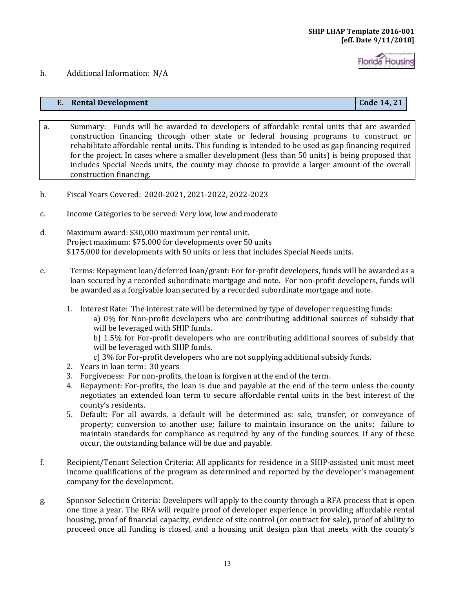#### h. Additional Information: N/A

#### **E.** Rental Development Code 14, 21

- a. Summary: Funds will be awarded to developers of affordable rental units that are awarded construction financing through other state or federal housing programs to construct or rehabilitate affordable rental units. This funding is intended to be used as gap financing required for the project. In cases where a smaller development (less than 50 units) is being proposed that includes Special Needs units, the county may choose to provide a larger amount of the overall construction financing.
- b. Fiscal Years Covered: 2020-2021, 2021-2022, 2022-2023
- c. Income Categories to be served: Very low, low and moderate
- d. Maximum award: \$30,000 maximum per rental unit. Project maximum: \$75,000 for developments over 50 units \$175,000 for developments with 50 units or less that includes Special Needs units.
- e. Terms: Repayment loan/deferred loan/grant: For for-profit developers, funds will be awarded as a loan secured by a recorded subordinate mortgage and note. For non-profit developers, funds will be awarded as a forgivable loan secured by a recorded subordinate mortgage and note.
	- 1. Interest Rate: The interest rate will be determined by type of developer requesting funds: a) 0% for Non-profit developers who are contributing additional sources of subsidy that will be leveraged with SHIP funds.

b) 1.5% for For-profit developers who are contributing additional sources of subsidy that will be leveraged with SHIP funds.

- c) 3% for For-profit developers who are not supplying additional subsidy funds.
- 2. Years in loan term: 30 years
- 3. Forgiveness: For non-profits, the loan is forgiven at the end of the term.
- 4. Repayment: For-profits, the loan is due and payable at the end of the term unless the county negotiates an extended loan term to secure affordable rental units in the best interest of the county's residents.
- 5. Default: For all awards, a default will be determined as: sale, transfer, or conveyance of property; conversion to another use; failure to maintain insurance on the units; failure to maintain standards for compliance as required by any of the funding sources. If any of these occur, the outstanding balance will be due and payable.
- f. Recipient/Tenant Selection Criteria: All applicants for residence in a SHIP-assisted unit must meet income qualifications of the program as determined and reported by the developer's management company for the development.
- g. Sponsor Selection Criteria: Developers will apply to the county through a RFA process that is open one time a year. The RFA will require proof of developer experience in providing affordable rental housing, proof of financial capacity, evidence of site control (or contract for sale), proof of ability to proceed once all funding is closed, and a housing unit design plan that meets with the county's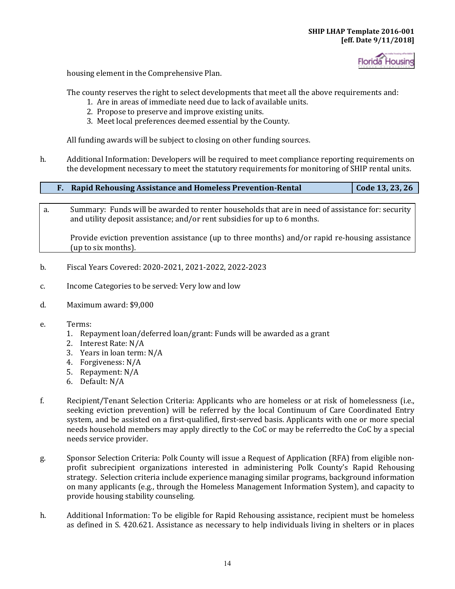

housing element in the Comprehensive Plan.

The county reserves the right to select developments that meet all the above requirements and:

- 1. Are in areas of immediate need due to lack of available units.
- 2. Propose to preserve and improve existing units.
- 3. Meet local preferences deemed essential by the County.

All funding awards will be subject to closing on other funding sources.

h. Additional Information: Developers will be required to meet compliance reporting requirements on the development necessary to meet the statutory requirements for monitoring of SHIP rental units.

| <b>Rapid Rehousing Assistance and Homeless Prevention-Rental</b> | Code 13, 23, 26 |
|------------------------------------------------------------------|-----------------|
|                                                                  |                 |
|                                                                  |                 |

- a. Summary: Funds will be awarded to renter households that are in need of assistance for: security and utility deposit assistance; and/or rent subsidies for up to 6 months. Provide eviction prevention assistance (up to three months) and/or rapid re-housing assistance
- b. Fiscal Years Covered: 2020-2021, 2021-2022, 2022-2023
- c. Income Categories to be served: Very low and low
- d. Maximum award: \$9,000

(up to six months).

- e. Terms:
	- 1. Repayment loan/deferred loan/grant: Funds will be awarded as a grant
	- 2. Interest Rate: N/A
	- 3. Years in loan term: N/A
	- 4. Forgiveness: N/A
	- 5. Repayment: N/A
	- 6. Default: N/A
- f. Recipient/Tenant Selection Criteria: Applicants who are homeless or at risk of homelessness (i.e., seeking eviction prevention) will be referred by the local Continuum of Care Coordinated Entry system, and be assisted on a first-qualified, first-served basis. Applicants with one or more special needs household members may apply directly to the CoC or may be referredto the CoC by a special needs service provider.
- g. Sponsor Selection Criteria: Polk County will issue a Request of Application (RFA) from eligible nonprofit subrecipient organizations interested in administering Polk County's Rapid Rehousing strategy. Selection criteria include experience managing similar programs, background information on many applicants (e.g., through the Homeless Management Information System), and capacity to provide housing stability counseling.
- h. Additional Information: To be eligible for Rapid Rehousing assistance, recipient must be homeless as defined in S. 420.621. Assistance as necessary to help individuals living in shelters or in places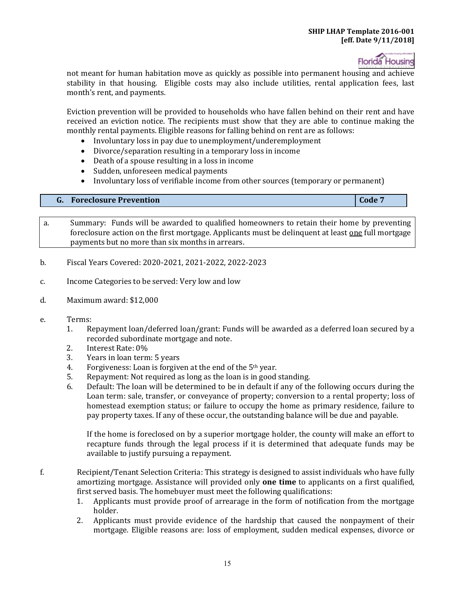

not meant for human habitation move as quickly as possible into permanent housing and achieve stability in that housing. Eligible costs may also include utilities, rental application fees, last month's rent, and payments.

Eviction prevention will be provided to households who have fallen behind on their rent and have received an eviction notice. The recipients must show that they are able to continue making the monthly rental payments. Eligible reasons for falling behind on rent are as follows:

- Involuntary loss in pay due to unemployment/underemployment
- Divorce/separation resulting in a temporary loss in income
- Death of a spouse resulting in a loss in income
- Sudden, unforeseen medical payments
- Involuntary loss of verifiable income from other sources (temporary or permanent)

#### **G.** Foreclosure Prevention **Code 7 Code 7 Code 7**

- a. Summary: Funds will be awarded to qualified homeowners to retain their home by preventing foreclosure action on the first mortgage. Applicants must be delinquent at least one full mortgage payments but no more than six months in arrears.
- b. Fiscal Years Covered: 2020-2021, 2021-2022, 2022-2023
- c. Income Categories to be served: Very low and low
- d. Maximum award: \$12,000
- e. Terms:<br>1. R
	- Repayment loan/deferred loan/grant: Funds will be awarded as a deferred loan secured by a recorded subordinate mortgage and note.
	- 2. Interest Rate: 0%<br>3. Years in loan term
	- 3. Years in loan term: 5 years<br>4. Forgiveness: Loan is forgive
	- 4. Forgiveness: Loan is forgiven at the end of the  $5<sup>th</sup>$  year.<br>5. Repayment: Not required as long as the loan is in good
	- 5. Repayment: Not required as long as the loan is in good standing.<br>6. Default: The loan will be determined to be in default if any of th
	- 6. Default: The loan will be determined to be in default if any of the following occurs during the Loan term: sale, transfer, or conveyance of property; conversion to a rental property; loss of homestead exemption status; or failure to occupy the home as primary residence, failure to pay property taxes. If any of these occur, the outstanding balance will be due and payable.

If the home is foreclosed on by a superior mortgage holder, the county will make an effort to recapture funds through the legal process if it is determined that adequate funds may be available to justify pursuing a repayment.

- f. Recipient/Tenant Selection Criteria: This strategy is designed to assist individuals who have fully amortizing mortgage. Assistance will provided only **one time** to applicants on a first qualified, first served basis. The homebuyer must meet the following qualifications:
	- holder. 1. Applicants must provide proof of arrearage in the form of notification from the mortgage
	- 2. Applicants must provide evidence of the hardship that caused the nonpayment of their mortgage. Eligible reasons are: loss of employment, sudden medical expenses, divorce or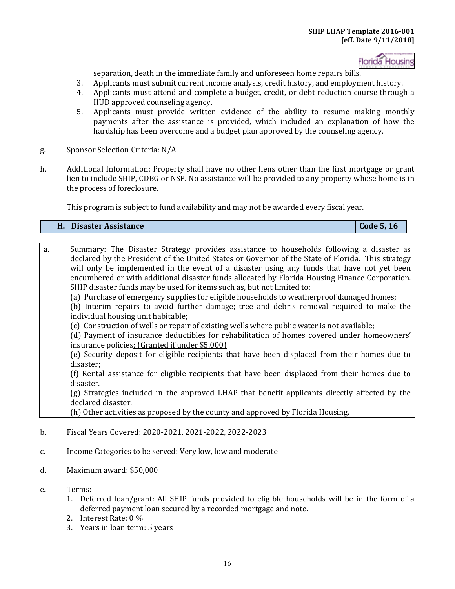

separation, death in the immediate family and unforeseen home repairs bills.

- 3. Applicants must submit current income analysis, credit history, and employment history.<br>4. Applicants must attend and complete a budget, credit, or debt reduction course through
- 4. Applicants must attend and complete a budget, credit, or debt reduction course through a HUD approved counseling agency.
- 5. Applicants must provide written evidence of the ability to resume making monthly payments after the assistance is provided, which included an explanation of how the hardship has been overcome and a budget plan approved by the counseling agency.
- g. Sponsor Selection Criteria: N/A
- h. Additional Information: Property shall have no other liens other than the first mortgage or grant lien to include SHIP, CDBG or NSP. No assistance will be provided to any property whose home is in the process of foreclosure.

This program is subject to fund availability and may not be awarded every fiscal year.

| Disaster Assistance | Code 5, 16 |
|---------------------|------------|
|---------------------|------------|

- encumbered or with additional disaster funds allocated by Florida Housing Finance Corporation. a. Summary: The Disaster Strategy provides assistance to households following a disaster as declared by the President of the United States or Governor of the State of Florida. This strategy will only be implemented in the event of a disaster using any funds that have not yet been SHIP disaster funds may be used for items such as, but not limited to:
	- (a) Purchase of emergency supplies for eligible households to weatherproof damaged homes;

(b) Interim repairs to avoid further damage; tree and debris removal required to make the individual housing unit habitable;

(c) Construction of wells or repair of existing wells where public water is not available;

(d) Payment of insurance deductibles for rehabilitation of homes covered under homeowners' insurance policies; (Granted if under \$5,000)

(e) Security deposit for eligible recipients that have been displaced from their homes due to disaster;

(f) Rental assistance for eligible recipients that have been displaced from their homes due to disaster.

(g) Strategies included in the approved LHAP that benefit applicants directly affected by the declared disaster.

(h) Other activities as proposed by the county and approved by Florida Housing.

- b. Fiscal Years Covered: 2020-2021, 2021-2022, 2022-2023
- c. Income Categories to be served: Very low, low and moderate
- d. Maximum award: \$50,000
- e. Terms:
	- 1. Deferred loan/grant: All SHIP funds provided to eligible households will be in the form of a deferred payment loan secured by a recorded mortgage and note.
	- 2. Interest Rate: 0 %
	- 3. Years in loan term: 5 years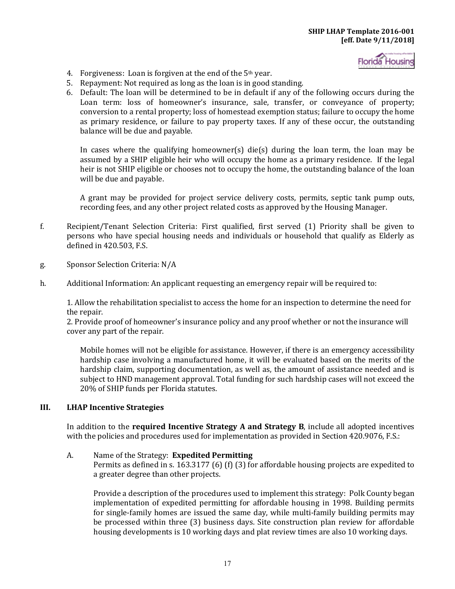

- 4. Forgiveness: Loan is forgiven at the end of the  $5<sup>th</sup>$  year.
- 5. Repayment: Not required as long as the loan is in good standing.
- 6. Default: The loan will be determined to be in default if any of the following occurs during the Loan term: loss of homeowner's insurance, sale, transfer, or conveyance of property; conversion to a rental property; loss of homestead exemption status; failure to occupy the home as primary residence, or failure to pay property taxes. If any of these occur, the outstanding balance will be due and payable.

In cases where the qualifying homeowner(s) die(s) during the loan term, the loan may be assumed by a SHIP eligible heir who will occupy the home as a primary residence. If the legal heir is not SHIP eligible or chooses not to occupy the home, the outstanding balance of the loan will be due and payable.

A grant may be provided for project service delivery costs, permits, septic tank pump outs, recording fees, and any other project related costs as approved by the Housing Manager.

- f. Recipient/Tenant Selection Criteria: First qualified, first served (1) Priority shall be given to persons who have special housing needs and individuals or household that qualify as Elderly as defined in 420.503, F.S.
- g. Sponsor Selection Criteria: N/A
- h. Additional Information: An applicant requesting an emergency repair will be required to:

1. Allow the rehabilitation specialist to access the home for an inspection to determine the need for the repair.

2. Provide proof of homeowner's insurance policy and any proof whether or not the insurance will cover any part of the repair.

Mobile homes will not be eligible for assistance. However, if there is an emergency accessibility hardship case involving a manufactured home, it will be evaluated based on the merits of the hardship claim, supporting documentation, as well as, the amount of assistance needed and is subject to HND management approval. Total funding for such hardship cases will not exceed the 20% of SHIP funds per Florida statutes.

#### **III. LHAP Incentive Strategies**

In addition to the **required Incentive Strategy A and Strategy B**, include all adopted incentives with the policies and procedures used for implementation as provided in Section 420.9076, F.S.:

### A. Name of the Strategy: **Expedited Permitting**

Permits as defined in s. 163.3177 (6) (f) (3) for affordable housing projects are expedited to a greater degree than other projects.

Provide a description of the procedures used to implement this strategy: Polk County began implementation of expedited permitting for affordable housing in 1998. Building permits for single-family homes are issued the same day, while multi-family building permits may be processed within three (3) business days. Site construction plan review for affordable housing developments is 10 working days and plat review times are also 10 working days.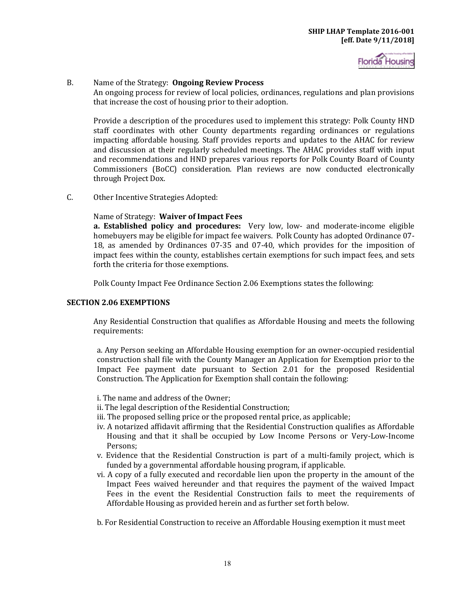

### B. Name of the Strategy: **Ongoing Review Process**

An ongoing process for review of local policies, ordinances, regulations and plan provisions that increase the cost of housing prior to their adoption.

Provide a description of the procedures used to implement this strategy: Polk County HND staff coordinates with other County departments regarding ordinances or regulations impacting affordable housing. Staff provides reports and updates to the AHAC for review and discussion at their regularly scheduled meetings. The AHAC provides staff with input and recommendations and HND prepares various reports for Polk County Board of County Commissioners (BoCC) consideration. Plan reviews are now conducted electronically through Project Dox.

C. Other Incentive Strategies Adopted:

### Name of Strategy: **Waiver of Impact Fees**

 **a. Established policy and procedures:** Very low, low- and moderate-income eligible homebuyers may be eligible for impact fee waivers. Polk County has adopted Ordinance 07- 18, as amended by Ordinances 07-35 and 07-40, which provides for the imposition of impact fees within the county, establishes certain exemptions for such impact fees, and sets forth the criteria for those exemptions.

Polk County Impact Fee Ordinance Section 2.06 Exemptions states the following:

#### **SECTION 2.06 EXEMPTIONS**

Any Residential Construction that qualifies as Affordable Housing and meets the following requirements:

a. Any Person seeking an Affordable Housing exemption for an owner-occupied residential construction shall file with the County Manager an Application for Exemption prior to the Impact Fee payment date pursuant to Section 2.01 for the proposed Residential Construction. The Application for Exemption shall contain the following:

- i. The name and address of the Owner;
- ii. The legal description of the Residential Construction;
- iii. The proposed selling price or the proposed rental price, as applicable;
- Housing and that it shall be occupied by Low Income Persons or Very-Low-Income iv. A notarized affidavit affirming that the Residential Construction qualifies as Affordable Persons;
- v. Evidence that the Residential Construction is part of a multi-family project, which is funded by a governmental affordable housing program, if applicable.
- vi. A copy of a fully executed and recordable lien upon the property in the amount of the Impact Fees waived hereunder and that requires the payment of the waived Impact Fees in the event the Residential Construction fails to meet the requirements of Affordable Housing as provided herein and as further set forth below.

b. For Residential Construction to receive an Affordable Housing exemption it must meet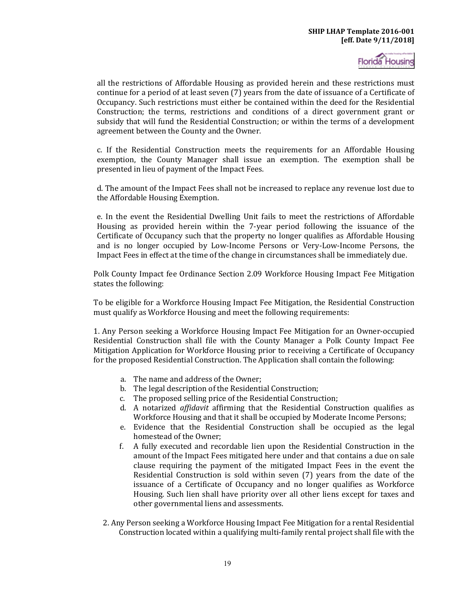all the restrictions of Affordable Housing as provided herein and these restrictions must continue for a period of at least seven (7) years from the date of issuance of a Certificate of Occupancy. Such restrictions must either be contained within the deed for the Residential Construction; the terms, restrictions and conditions of a direct government grant or subsidy that will fund the Residential Construction; or within the terms of a development agreement between the County and the Owner.

c. If the Residential Construction meets the requirements for an Affordable Housing exemption, the County Manager shall issue an exemption. The exemption shall be presented in lieu of payment of the Impact Fees.

d. The amount of the Impact Fees shall not be increased to replace any revenue lost due to the Affordable Housing Exemption.

e. In the event the Residential Dwelling Unit fails to meet the restrictions of Affordable Housing as provided herein within the 7-year period following the issuance of the Certificate of Occupancy such that the property no longer qualifies as Affordable Housing and is no longer occupied by Low-Income Persons or Very-Low-Income Persons, the Impact Fees in effect at the time of the change in circumstances shall be immediately due.

Polk County Impact fee Ordinance Section 2.09 Workforce Housing Impact Fee Mitigation states the following:

To be eligible for a Workforce Housing Impact Fee Mitigation, the Residential Construction must qualify as Workforce Housing and meet the following requirements:

1. Any Person seeking a Workforce Housing Impact Fee Mitigation for an Owner-occupied Residential Construction shall file with the County Manager a Polk County Impact Fee Mitigation Application for Workforce Housing prior to receiving a Certificate of Occupancy for the proposed Residential Construction. The Application shall contain the following:

- a. The name and address of the Owner;
- b. The legal description of the Residential Construction;
- c. The proposed selling price of the Residential Construction;
- d. A notarized *affidavit* affirming that the Residential Construction qualifies as Workforce Housing and that it shall be occupied by Moderate Income Persons;
- e. Evidence that the Residential Construction shall be occupied as the legal homestead of the Owner;
- f. A fully executed and recordable lien upon the Residential Construction in the amount of the Impact Fees mitigated here under and that contains a due on sale clause requiring the payment of the mitigated Impact Fees in the event the Residential Construction is sold within seven (7) years from the date of the issuance of a Certificate of Occupancy and no longer qualifies as Workforce Housing. Such lien shall have priority over all other liens except for taxes and other governmental liens and assessments.
- 2. Any Person seeking a Workforce Housing Impact Fee Mitigation for a rental Residential Construction located within a qualifying multi-family rental project shall file with the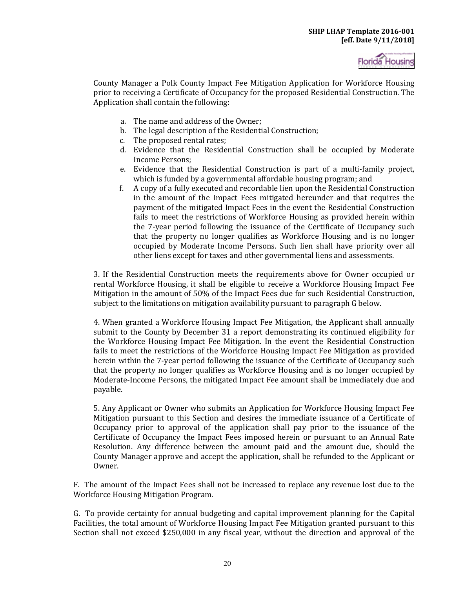

County Manager a Polk County Impact Fee Mitigation Application for Workforce Housing prior to receiving a Certificate of Occupancy for the proposed Residential Construction. The Application shall contain the following:

- a. The name and address of the Owner;
- b. The legal description of the Residential Construction;<br>c. The proposed rental rates:
- The proposed rental rates;
- d. Evidence that the Residential Construction shall be occupied by Moderate Income Persons;
- e. Evidence that the Residential Construction is part of a multi-family project, which is funded by a governmental affordable housing program; and
- f. A copy of a fully executed and recordable lien upon the Residential Construction in the amount of the Impact Fees mitigated hereunder and that requires the payment of the mitigated Impact Fees in the event the Residential Construction fails to meet the restrictions of Workforce Housing as provided herein within the 7-year period following the issuance of the Certificate of Occupancy such that the property no longer qualifies as Workforce Housing and is no longer occupied by Moderate Income Persons. Such lien shall have priority over all other liens except for taxes and other governmental liens and assessments.

 Mitigation in the amount of 50% of the Impact Fees due for such Residential Construction, 3. If the Residential Construction meets the requirements above for Owner occupied or rental Workforce Housing, it shall be eligible to receive a Workforce Housing Impact Fee subject to the limitations on mitigation availability pursuant to paragraph G below.

4. When granted a Workforce Housing Impact Fee Mitigation, the Applicant shall annually submit to the County by December 31 a report demonstrating its continued eligibility for the Workforce Housing Impact Fee Mitigation. In the event the Residential Construction fails to meet the restrictions of the Workforce Housing Impact Fee Mitigation as provided herein within the 7-year period following the issuance of the Certificate of Occupancy such that the property no longer qualifies as Workforce Housing and is no longer occupied by Moderate-Income Persons, the mitigated Impact Fee amount shall be immediately due and payable.

5. Any Applicant or Owner who submits an Application for Workforce Housing Impact Fee Mitigation pursuant to this Section and desires the immediate issuance of a Certificate of Occupancy prior to approval of the application shall pay prior to the issuance of the Certificate of Occupancy the Impact Fees imposed herein or pursuant to an Annual Rate Resolution. Any difference between the amount paid and the amount due, should the County Manager approve and accept the application, shall be refunded to the Applicant or Owner.

F. The amount of the Impact Fees shall not be increased to replace any revenue lost due to the Workforce Housing Mitigation Program.

G. To provide certainty for annual budgeting and capital improvement planning for the Capital Facilities, the total amount of Workforce Housing Impact Fee Mitigation granted pursuant to this Section shall not exceed \$250,000 in any fiscal year, without the direction and approval of the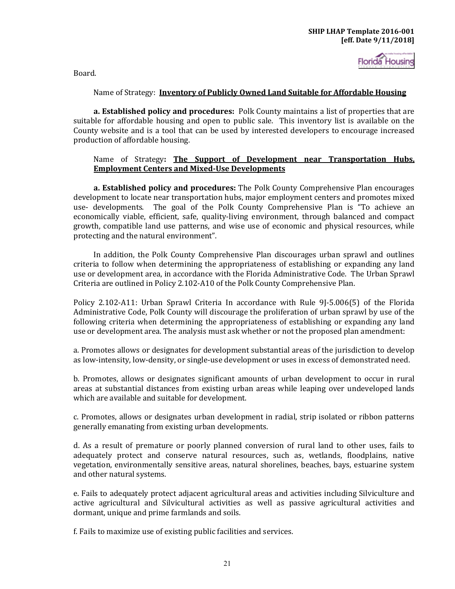Board.

### Name of Strategy: **Inventory of Publicly Owned Land Suitable for Affordable Housing**

 **a. Established policy and procedures:** Polk County maintains a list of properties that are suitable for affordable housing and open to public sale. This inventory list is available on the County website and is a tool that can be used by interested developers to encourage increased production of affordable housing.

#### Name of Strategy**: The Support of Development near Transportation Hubs, Employment Centers and Mixed-Use Developments**

**a. Established policy and procedures:** The Polk County Comprehensive Plan encourages development to locate near transportation hubs, major employment centers and promotes mixed use- developments. The goal of the Polk County Comprehensive Plan is "To achieve an economically viable, efficient, safe, quality-living environment, through balanced and compact growth, compatible land use patterns, and wise use of economic and physical resources, while protecting and the natural environment".

In addition, the Polk County Comprehensive Plan discourages urban sprawl and outlines criteria to follow when determining the appropriateness of establishing or expanding any land use or development area, in accordance with the Florida Administrative Code. The Urban Sprawl Criteria are outlined in Policy 2.102-A10 of the Polk County Comprehensive Plan.

Policy 2.102-A11: Urban Sprawl Criteria In accordance with Rule 9J-5.006(5) of the Florida Administrative Code, Polk County will discourage the proliferation of urban sprawl by use of the following criteria when determining the appropriateness of establishing or expanding any land use or development area. The analysis must ask whether or not the proposed plan amendment:

a. Promotes allows or designates for development substantial areas of the jurisdiction to develop as low-intensity, low-density, or single-use development or uses in excess of demonstrated need.

b. Promotes, allows or designates significant amounts of urban development to occur in rural areas at substantial distances from existing urban areas while leaping over undeveloped lands which are available and suitable for development.

c. Promotes, allows or designates urban development in radial, strip isolated or ribbon patterns generally emanating from existing urban developments.

d. As a result of premature or poorly planned conversion of rural land to other uses, fails to adequately protect and conserve natural resources, such as, wetlands, floodplains, native vegetation, environmentally sensitive areas, natural shorelines, beaches, bays, estuarine system and other natural systems.

e. Fails to adequately protect adjacent agricultural areas and activities including Silviculture and active agricultural and Silvicultural activities as well as passive agricultural activities and dormant, unique and prime farmlands and soils.

f. Fails to maximize use of existing public facilities and services.